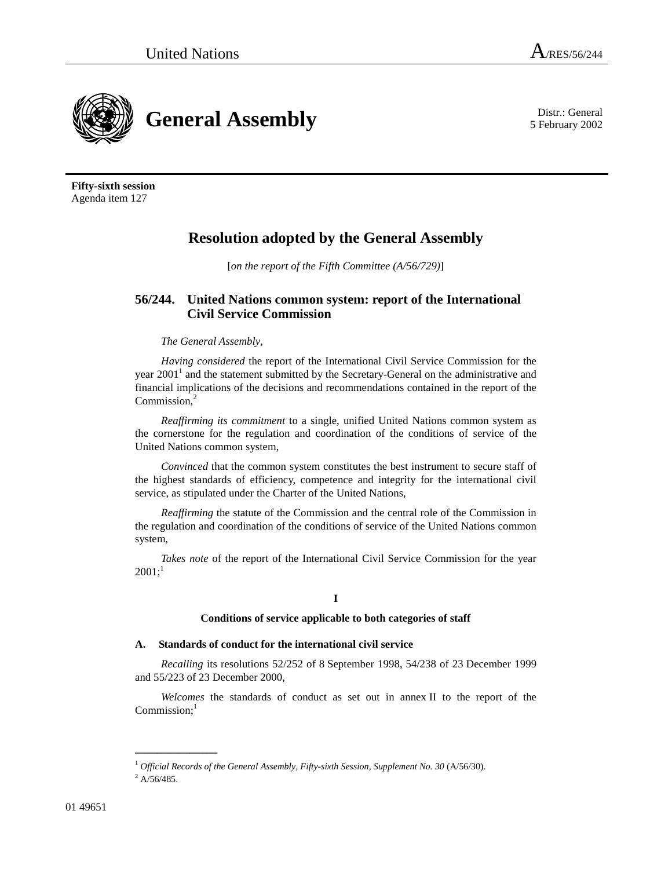



**Fifty-sixth session**  Agenda item 127

# **Resolution adopted by the General Assembly**

[*on the report of the Fifth Committee (A/56/729)*]

## **56/244. United Nations common system: report of the International Civil Service Commission**

### *The General Assembly*,

*Having considered* the report of the International Civil Service Commission for the year 2001<sup>1</sup> and the statement submitted by the Secretary-General on the administrative and financial implications of the decisions and recommendations contained in the report of the Commission,<sup>2</sup>

*Reaffirming its commitment* to a single, unified United Nations common system as the cornerstone for the regulation and coordination of the conditions of service of the United Nations common system,

*Convinced* that the common system constitutes the best instrument to secure staff of the highest standards of efficiency, competence and integrity for the international civil service, as stipulated under the Charter of the United Nations,

*Reaffirming* the statute of the Commission and the central role of the Commission in the regulation and coordination of the conditions of service of the United Nations common system,

*Takes note* of the report of the International Civil Service Commission for the year  $2001$ ;<sup>1</sup>

### **I**

#### **Conditions of service applicable to both categories of staff**

#### **A. Standards of conduct for the international civil service**

*Recalling* its resolutions 52/252 of 8 September 1998, 54/238 of 23 December 1999 and 55/223 of 23 December 2000,

*Welcomes* the standards of conduct as set out in annex II to the report of the  $Commission;$ <sup>1</sup>

**\_\_\_\_\_\_\_\_\_\_\_\_\_\_\_** 

<sup>&</sup>lt;sup>1</sup> Official Records of the General Assembly, Fifty-sixth Session, Supplement No. 30 (A/56/30).

 $^{2}$  A/56/485.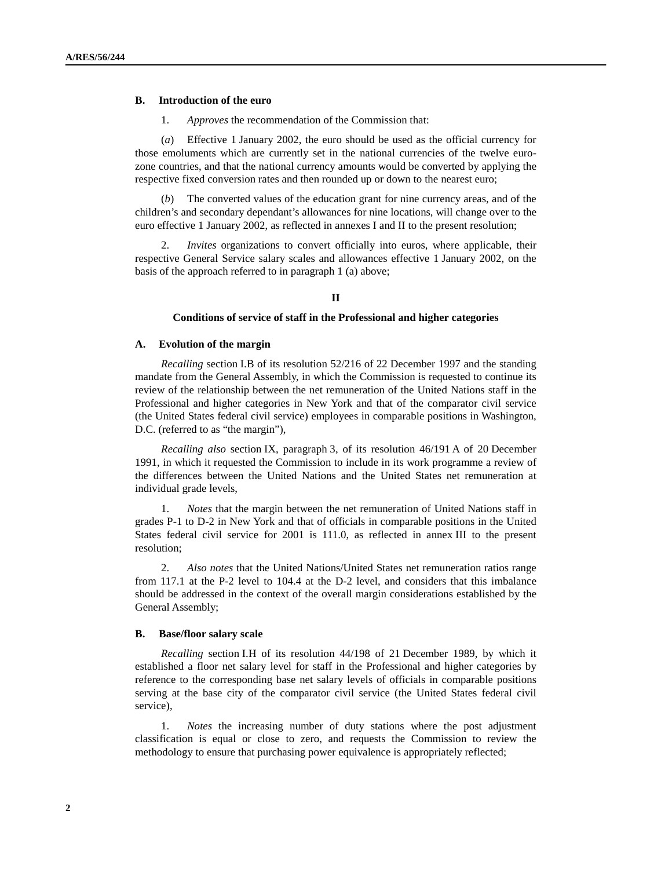#### **B. Introduction of the euro**

1. *Approves* the recommendation of the Commission that:

 (*a*) Effective 1 January 2002, the euro should be used as the official currency for those emoluments which are currently set in the national currencies of the twelve eurozone countries, and that the national currency amounts would be converted by applying the respective fixed conversion rates and then rounded up or down to the nearest euro;

 (*b*) The converted values of the education grant for nine currency areas, and of the children's and secondary dependant's allowances for nine locations, will change over to the euro effective 1 January 2002, as reflected in annexes I and II to the present resolution;

 2. *Invites* organizations to convert officially into euros, where applicable, their respective General Service salary scales and allowances effective 1 January 2002, on the basis of the approach referred to in paragraph 1 (a) above;

#### **II**

#### **Conditions of service of staff in the Professional and higher categories**

#### **A. Evolution of the margin**

*Recalling* section I.B of its resolution 52/216 of 22 December 1997 and the standing mandate from the General Assembly, in which the Commission is requested to continue its review of the relationship between the net remuneration of the United Nations staff in the Professional and higher categories in New York and that of the comparator civil service (the United States federal civil service) employees in comparable positions in Washington, D.C. (referred to as "the margin"),

*Recalling also* section IX, paragraph 3, of its resolution 46/191 A of 20 December 1991, in which it requested the Commission to include in its work programme a review of the differences between the United Nations and the United States net remuneration at individual grade levels,

 1. *Notes* that the margin between the net remuneration of United Nations staff in grades P-1 to D-2 in New York and that of officials in comparable positions in the United States federal civil service for 2001 is 111.0, as reflected in annex III to the present resolution;

 2. *Also notes* that the United Nations/United States net remuneration ratios range from 117.1 at the P-2 level to 104.4 at the D-2 level, and considers that this imbalance should be addressed in the context of the overall margin considerations established by the General Assembly;

#### **B. Base/floor salary scale**

*Recalling* section I.H of its resolution 44/198 of 21 December 1989, by which it established a floor net salary level for staff in the Professional and higher categories by reference to the corresponding base net salary levels of officials in comparable positions serving at the base city of the comparator civil service (the United States federal civil service),

 1. *Notes* the increasing number of duty stations where the post adjustment classification is equal or close to zero, and requests the Commission to review the methodology to ensure that purchasing power equivalence is appropriately reflected;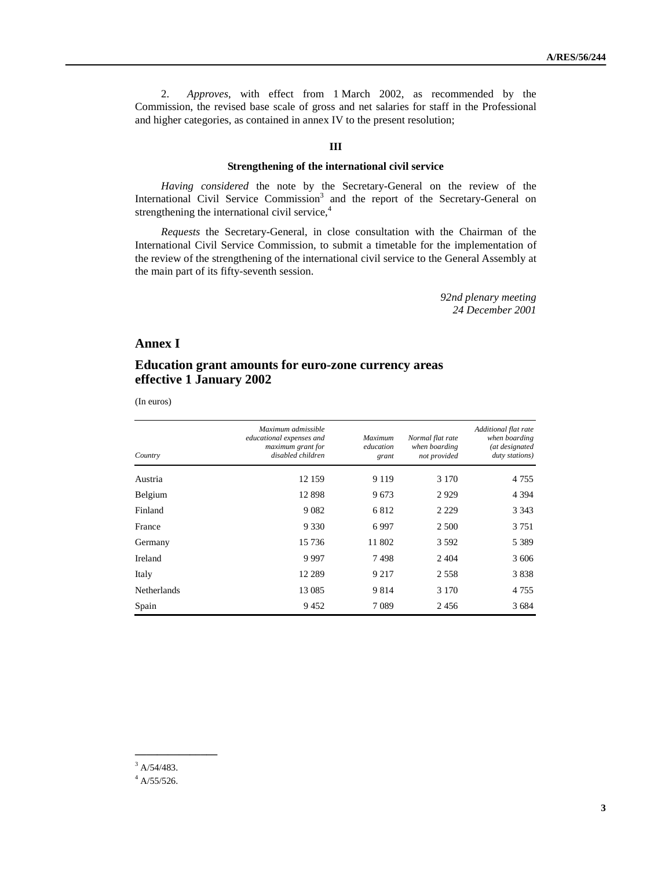2. *Approves*, with effect from 1 March 2002, as recommended by the Commission, the revised base scale of gross and net salaries for staff in the Professional and higher categories, as contained in annex IV to the present resolution;

#### **III**

#### **Strengthening of the international civil service**

*Having considered* the note by the Secretary-General on the review of the International Civil Service Commission<sup>3</sup> and the report of the Secretary-General on strengthening the international civil service,<sup>4</sup>

*Requests* the Secretary-General, in close consultation with the Chairman of the International Civil Service Commission, to submit a timetable for the implementation of the review of the strengthening of the international civil service to the General Assembly at the main part of its fifty-seventh session.

> *92nd plenary meeting 24 December 2001*

### **Annex I**

### **Education grant amounts for euro-zone currency areas effective 1 January 2002**

(In euros)

| Country            | Maximum admissible<br>educational expenses and<br>maximum grant for<br>disabled children | Maximum<br>education<br>grant | Normal flat rate<br>when boarding<br>not provided | Additional flat rate<br>when boarding<br>(at designated<br>duty stations) |
|--------------------|------------------------------------------------------------------------------------------|-------------------------------|---------------------------------------------------|---------------------------------------------------------------------------|
| Austria            | 12 159                                                                                   | 9 1 1 9                       | 3 1 7 0                                           | 4 7 5 5                                                                   |
| Belgium            | 12898                                                                                    | 9673                          | 2929                                              | 4 3 9 4                                                                   |
| Finland            | 9 0 8 2                                                                                  | 6812                          | 2 2 2 9                                           | 3 3 4 3                                                                   |
| France             | 9 3 3 0                                                                                  | 6997                          | 2 500                                             | 3 7 5 1                                                                   |
| Germany            | 15 7 36                                                                                  | 11 802                        | 3592                                              | 5 3 8 9                                                                   |
| Ireland            | 9997                                                                                     | 7498                          | 2 4 0 4                                           | 3 606                                                                     |
| Italy              | 12 2 8 9                                                                                 | 9 2 1 7                       | 2 5 5 8                                           | 3838                                                                      |
| <b>Netherlands</b> | 13 0 85                                                                                  | 9 8 1 4                       | 3 1 7 0                                           | 4 7 5 5                                                                   |
| Spain              | 9452                                                                                     | 7089                          | 2456                                              | 3 6 8 4                                                                   |

**\_\_\_\_\_\_\_\_\_\_\_\_\_\_\_** 

 $3$  A/54/483.

 $4$  A/55/526.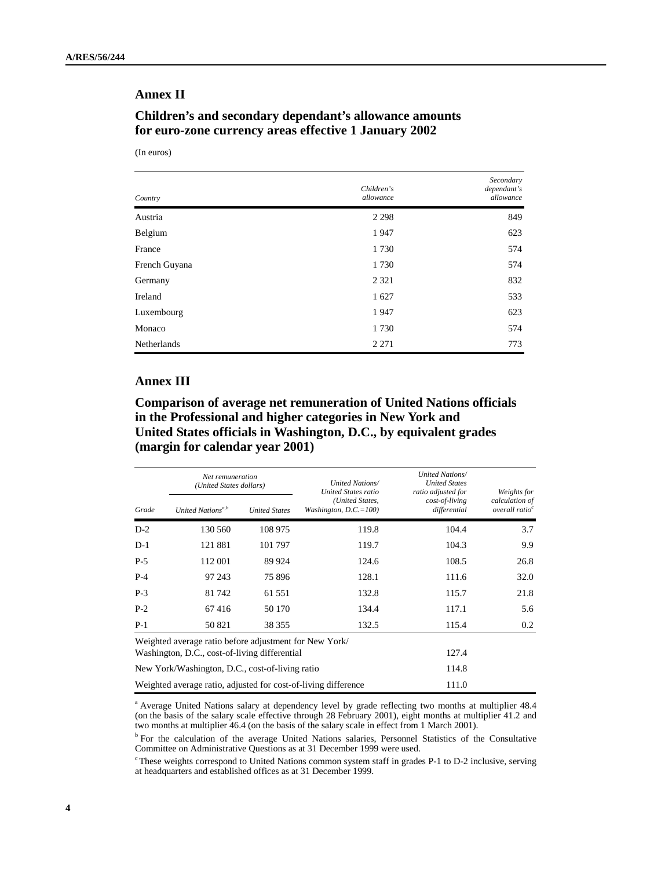### **Annex II**

### **Children's and secondary dependant's allowance amounts for euro-zone currency areas effective 1 January 2002**

(In euros)

| Country            | Children's<br>allowance | Secondary<br>dependant's<br>allowance |
|--------------------|-------------------------|---------------------------------------|
| Austria            | 2 2 9 8                 | 849                                   |
| Belgium            | 1947                    | 623                                   |
| France             | 1730                    | 574                                   |
| French Guyana      | 1730                    | 574                                   |
| Germany            | 2 3 2 1                 | 832                                   |
| Ireland            | 1627                    | 533                                   |
| Luxembourg         | 1947                    | 623                                   |
| Monaco             | 1730                    | 574                                   |
| <b>Netherlands</b> | 2 2 7 1                 | 773                                   |

### **Annex III**

## **Comparison of average net remuneration of United Nations officials in the Professional and higher categories in New York and United States officials in Washington, D.C., by equivalent grades (margin for calendar year 2001)**

| Grade | Net remuneration<br>(United States dollars)                    |                      | United Nations/<br>United States ratio      | United Nations/<br><b>United States</b><br>ratio adjusted for | Weights for                                  |  |  |
|-------|----------------------------------------------------------------|----------------------|---------------------------------------------|---------------------------------------------------------------|----------------------------------------------|--|--|
|       | United Nations <sup>a,b</sup>                                  | <b>United States</b> | (United States,<br>Washington, $D.C.=100$ ) | cost-of-living<br>differential                                | calculation of<br>overall ratio <sup>c</sup> |  |  |
| $D-2$ | 130 560                                                        | 108 975              | 119.8                                       | 104.4                                                         | 3.7                                          |  |  |
| $D-1$ | 121 881                                                        | 101 797              | 119.7                                       | 104.3                                                         | 9.9                                          |  |  |
| $P-5$ | 112 001                                                        | 89 924               | 124.6                                       | 108.5                                                         | 26.8                                         |  |  |
| $P-4$ | 97 243                                                         | 75896                | 128.1                                       | 111.6                                                         | 32.0                                         |  |  |
| $P-3$ | 81 742                                                         | 61 551               | 132.8                                       | 115.7                                                         | 21.8                                         |  |  |
| $P-2$ | 67416                                                          | 50 170               | 134.4                                       | 117.1                                                         | 5.6                                          |  |  |
| $P-1$ | 50 821                                                         | 38 35 5              | 132.5                                       | 115.4                                                         | 0.2                                          |  |  |
|       | Weighted average ratio before adjustment for New York/         |                      |                                             |                                                               |                                              |  |  |
|       | Washington, D.C., cost-of-living differential                  | 127.4                |                                             |                                                               |                                              |  |  |
|       | New York/Washington, D.C., cost-of-living ratio                | 114.8                |                                             |                                                               |                                              |  |  |
|       | Weighted average ratio, adjusted for cost-of-living difference | 111.0                |                                             |                                                               |                                              |  |  |

<sup>a</sup> Average United Nations salary at dependency level by grade reflecting two months at multiplier 48.4 (on the basis of the salary scale effective through 28 February 2001), eight months at multiplier 41.2 and two months at multiplier 46.4 (on the basis of the salary scale in effect from 1 March 2001).

<sup>b</sup> For the calculation of the average United Nations salaries, Personnel Statistics of the Consultative Committee on Administrative Questions as at 31 December 1999 were used.

c These weights correspond to United Nations common system staff in grades P-1 to D-2 inclusive, serving at headquarters and established offices as at 31 December 1999.